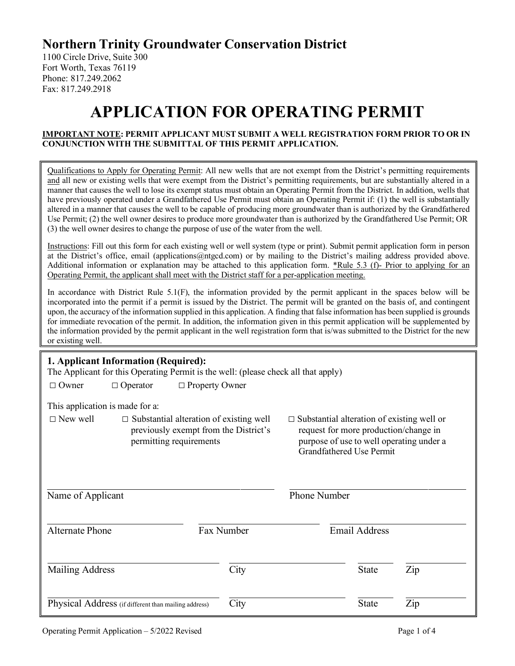## **Northern Trinity Groundwater Conservation District**

1100 Circle Drive, Suite 300 Fort Worth, Texas 76119 Phone: 817.249.2062 Fax: 817.249.2918

# **APPLICATION FOR OPERATING PERMIT**

#### **IMPORTANT NOTE: PERMIT APPLICANT MUST SUBMIT A WELL REGISTRATION FORM PRIOR TO OR IN CONJUNCTION WITH THE SUBMITTAL OF THIS PERMIT APPLICATION.**

Qualifications to Apply for Operating Permit: All new wells that are not exempt from the District's permitting requirements and all new or existing wells that were exempt from the District's permitting requirements, but are substantially altered in a manner that causes the well to lose its exempt status must obtain an Operating Permit from the District. In addition, wells that have previously operated under a Grandfathered Use Permit must obtain an Operating Permit if: (1) the well is substantially altered in a manner that causes the well to be capable of producing more groundwater than is authorized by the Grandfathered Use Permit; (2) the well owner desires to produce more groundwater than is authorized by the Grandfathered Use Permit; OR (3) the well owner desires to change the purpose of use of the water from the well.

Instructions: Fill out this form for each existing well or well system (type or print). Submit permit application form in person at the District's office, email (applications@ntgcd.com) or by mailing to the District's mailing address provided above. Additional information or explanation may be attached to this application form. \*Rule 5.3 (f)- Prior to applying for an Operating Permit, the applicant shall meet with the District staff for a per-application meeting.

In accordance with District Rule 5.1(F), the information provided by the permit applicant in the spaces below will be incorporated into the permit if a permit is issued by the District. The permit will be granted on the basis of, and contingent upon, the accuracy of the information supplied in this application. A finding that false information has been supplied is grounds for immediate revocation of the permit. In addition, the information given in this permit application will be supplemented by the information provided by the permit applicant in the well registration form that is/was submitted to the District for the new or existing well.

| 1. Applicant Information (Required):<br>The Applicant for this Operating Permit is the well: (please check all that apply)<br>$\Box$ Property Owner<br>$\Box$ Owner<br>$\Box$ Operator                                                                                                                                                         |                                                      |            |                     |                      |                |  |  |
|------------------------------------------------------------------------------------------------------------------------------------------------------------------------------------------------------------------------------------------------------------------------------------------------------------------------------------------------|------------------------------------------------------|------------|---------------------|----------------------|----------------|--|--|
| This application is made for a:<br>$\Box$ New well<br>$\Box$ Substantial alteration of existing well<br>$\Box$ Substantial alteration of existing well or<br>request for more production/change in<br>previously exempt from the District's<br>purpose of use to well operating under a<br>permitting requirements<br>Grandfathered Use Permit |                                                      |            |                     |                      |                |  |  |
| Name of Applicant                                                                                                                                                                                                                                                                                                                              |                                                      |            | <b>Phone Number</b> |                      |                |  |  |
| <b>Alternate Phone</b>                                                                                                                                                                                                                                                                                                                         |                                                      | Fax Number |                     | <b>Email Address</b> |                |  |  |
| Mailing Address                                                                                                                                                                                                                                                                                                                                |                                                      | City       |                     | <b>State</b>         | Zip            |  |  |
|                                                                                                                                                                                                                                                                                                                                                | Physical Address (if different than mailing address) | City       |                     | <b>State</b>         | $\mathbf{Zip}$ |  |  |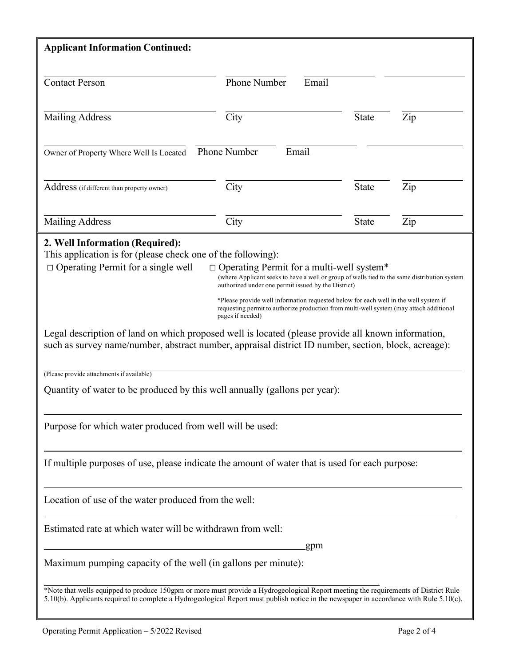| <b>Applicant Information Continued:</b>                                                                                                                                                                                                                                                                                                                                                                                                                                                                                                                                                                                                                                                                                                   |                              |              |     |  |  |  |
|-------------------------------------------------------------------------------------------------------------------------------------------------------------------------------------------------------------------------------------------------------------------------------------------------------------------------------------------------------------------------------------------------------------------------------------------------------------------------------------------------------------------------------------------------------------------------------------------------------------------------------------------------------------------------------------------------------------------------------------------|------------------------------|--------------|-----|--|--|--|
| <b>Contact Person</b>                                                                                                                                                                                                                                                                                                                                                                                                                                                                                                                                                                                                                                                                                                                     | <b>Phone Number</b><br>Email |              |     |  |  |  |
| <b>Mailing Address</b>                                                                                                                                                                                                                                                                                                                                                                                                                                                                                                                                                                                                                                                                                                                    | City                         | <b>State</b> | Zip |  |  |  |
| <b>Phone Number</b><br>Email<br>Owner of Property Where Well Is Located                                                                                                                                                                                                                                                                                                                                                                                                                                                                                                                                                                                                                                                                   |                              |              |     |  |  |  |
| Address (if different than property owner)                                                                                                                                                                                                                                                                                                                                                                                                                                                                                                                                                                                                                                                                                                | City                         | State        | Zip |  |  |  |
| <b>Mailing Address</b>                                                                                                                                                                                                                                                                                                                                                                                                                                                                                                                                                                                                                                                                                                                    | City                         | <b>State</b> | Zip |  |  |  |
| This application is for (please check one of the following):<br>$\Box$ Operating Permit for a single well<br>$\Box$ Operating Permit for a multi-well system*<br>(where Applicant seeks to have a well or group of wells tied to the same distribution system<br>authorized under one permit issued by the District)<br>*Please provide well information requested below for each well in the well system if<br>requesting permit to authorize production from multi-well system (may attach additional<br>pages if needed)<br>Legal description of land on which proposed well is located (please provide all known information,<br>such as survey name/number, abstract number, appraisal district ID number, section, block, acreage): |                              |              |     |  |  |  |
| (Please provide attachments if available)<br>Quantity of water to be produced by this well annually (gallons per year):                                                                                                                                                                                                                                                                                                                                                                                                                                                                                                                                                                                                                   |                              |              |     |  |  |  |
| Purpose for which water produced from well will be used:                                                                                                                                                                                                                                                                                                                                                                                                                                                                                                                                                                                                                                                                                  |                              |              |     |  |  |  |
| If multiple purposes of use, please indicate the amount of water that is used for each purpose:                                                                                                                                                                                                                                                                                                                                                                                                                                                                                                                                                                                                                                           |                              |              |     |  |  |  |
| Location of use of the water produced from the well:                                                                                                                                                                                                                                                                                                                                                                                                                                                                                                                                                                                                                                                                                      |                              |              |     |  |  |  |
| Estimated rate at which water will be withdrawn from well:<br>gpm                                                                                                                                                                                                                                                                                                                                                                                                                                                                                                                                                                                                                                                                         |                              |              |     |  |  |  |
| Maximum pumping capacity of the well (in gallons per minute):                                                                                                                                                                                                                                                                                                                                                                                                                                                                                                                                                                                                                                                                             |                              |              |     |  |  |  |
| *Note that wells equipped to produce 150gpm or more must provide a Hydrogeological Report meeting the requirements of District Rule<br>5.10(b). Applicants required to complete a Hydrogeological Report must publish notice in the newspaper in accordance with Rule 5.10(c).                                                                                                                                                                                                                                                                                                                                                                                                                                                            |                              |              |     |  |  |  |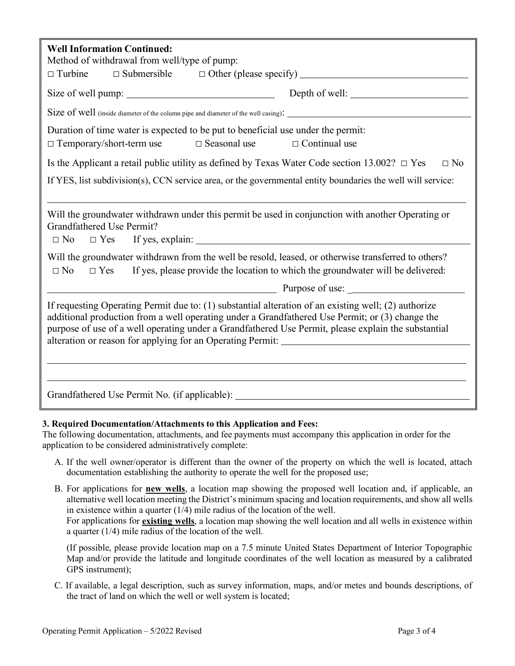| <b>Well Information Continued:</b><br>Method of withdrawal from well/type of pump:<br>$\Box$ Turbine                                                                                                                                                                                                                                                       |  |  |  |  |  |  |
|------------------------------------------------------------------------------------------------------------------------------------------------------------------------------------------------------------------------------------------------------------------------------------------------------------------------------------------------------------|--|--|--|--|--|--|
|                                                                                                                                                                                                                                                                                                                                                            |  |  |  |  |  |  |
|                                                                                                                                                                                                                                                                                                                                                            |  |  |  |  |  |  |
| Duration of time water is expected to be put to beneficial use under the permit:<br>$\Box$ Temporary/short-term use<br>$\Box$ Seasonal use<br>$\Box$ Continual use                                                                                                                                                                                         |  |  |  |  |  |  |
| Is the Applicant a retail public utility as defined by Texas Water Code section 13.002? $\Box$ Yes<br>$\Box$ No                                                                                                                                                                                                                                            |  |  |  |  |  |  |
| If YES, list subdivision(s), CCN service area, or the governmental entity boundaries the well will service:                                                                                                                                                                                                                                                |  |  |  |  |  |  |
| Will the groundwater withdrawn under this permit be used in conjunction with another Operating or<br><b>Grandfathered Use Permit?</b><br>Will the groundwater withdrawn from the well be resold, leased, or otherwise transferred to others?<br>$\Box$ No<br>If yes, please provide the location to which the groundwater will be delivered:<br>$\Box$ Yes |  |  |  |  |  |  |
| If requesting Operating Permit due to: (1) substantial alteration of an existing well; (2) authorize<br>additional production from a well operating under a Grandfathered Use Permit; or (3) change the<br>purpose of use of a well operating under a Grandfathered Use Permit, please explain the substantial                                             |  |  |  |  |  |  |
| Grandfathered Use Permit No. (if applicable): __________________________________                                                                                                                                                                                                                                                                           |  |  |  |  |  |  |

#### **3. Required Documentation/Attachments to this Application and Fees:**

The following documentation, attachments, and fee payments must accompany this application in order for the application to be considered administratively complete:

- A. If the well owner/operator is different than the owner of the property on which the well is located, attach documentation establishing the authority to operate the well for the proposed use;
- B. For applications for **new wells**, a location map showing the proposed well location and, if applicable, an alternative well location meeting the District's minimum spacing and location requirements, and show all wells in existence within a quarter (1/4) mile radius of the location of the well. For applications for **existing wells**, a location map showing the well location and all wells in existence within

a quarter (1/4) mile radius of the location of the well.

(If possible, please provide location map on a 7.5 minute United States Department of Interior Topographic Map and/or provide the latitude and longitude coordinates of the well location as measured by a calibrated GPS instrument);

C. If available, a legal description, such as survey information, maps, and/or metes and bounds descriptions, of the tract of land on which the well or well system is located;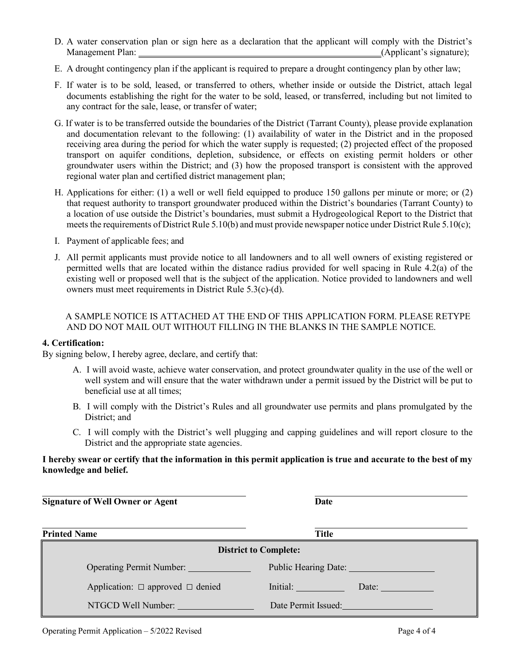- D. A water conservation plan or sign here as a declaration that the applicant will comply with the District's Management Plan: (Applicant's signature);
- E. A drought contingency plan if the applicant is required to prepare a drought contingency plan by other law;
- F. If water is to be sold, leased, or transferred to others, whether inside or outside the District, attach legal documents establishing the right for the water to be sold, leased, or transferred, including but not limited to any contract for the sale, lease, or transfer of water;
- G. If water is to be transferred outside the boundaries of the District (Tarrant County), please provide explanation and documentation relevant to the following: (1) availability of water in the District and in the proposed receiving area during the period for which the water supply is requested; (2) projected effect of the proposed transport on aquifer conditions, depletion, subsidence, or effects on existing permit holders or other groundwater users within the District; and (3) how the proposed transport is consistent with the approved regional water plan and certified district management plan;
- H. Applications for either: (1) a well or well field equipped to produce 150 gallons per minute or more; or (2) that request authority to transport groundwater produced within the District's boundaries (Tarrant County) to a location of use outside the District's boundaries, must submit a Hydrogeological Report to the District that meets the requirements of District Rule 5.10(b) and must provide newspaper notice under District Rule 5.10(c);
- I. Payment of applicable fees; and
- J. All permit applicants must provide notice to all landowners and to all well owners of existing registered or permitted wells that are located within the distance radius provided for well spacing in Rule 4.2(a) of the existing well or proposed well that is the subject of the application. Notice provided to landowners and well owners must meet requirements in District Rule 5.3(c)-(d).

#### A SAMPLE NOTICE IS ATTACHED AT THE END OF THIS APPLICATION FORM. PLEASE RETYPE AND DO NOT MAIL OUT WITHOUT FILLING IN THE BLANKS IN THE SAMPLE NOTICE.

#### **4. Certification:**

By signing below, I hereby agree, declare, and certify that:

- A. I will avoid waste, achieve water conservation, and protect groundwater quality in the use of the well or well system and will ensure that the water withdrawn under a permit issued by the District will be put to beneficial use at all times;
- B. I will comply with the District's Rules and all groundwater use permits and plans promulgated by the District; and
- C. I will comply with the District's well plugging and capping guidelines and will report closure to the District and the appropriate state agencies.

#### **I hereby swear or certify that the information in this permit application is true and accurate to the best of my knowledge and belief.**

**Signature of Well Owner or Agent Date** 

| <b>Printed Name</b>                        | <b>Title</b>                             |  |  |  |
|--------------------------------------------|------------------------------------------|--|--|--|
| <b>District to Complete:</b>               |                                          |  |  |  |
|                                            | Public Hearing Date: 1997                |  |  |  |
| Application: $\Box$ approved $\Box$ denied | Initial:<br>Date: <u>_______________</u> |  |  |  |
| NTGCD Well Number:                         | Date Permit Issued: <b>Example 2014</b>  |  |  |  |